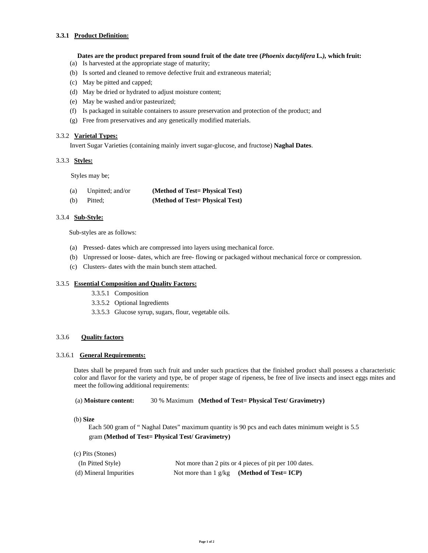## **3.3.1 Product Definition:**

#### **Dates are the product prepared from sound fruit of the date tree (***Phoenix dactylifera* **L***.),* **which fruit:**

- (a) Is harvested at the appropriate stage of maturity;
- (b) Is sorted and cleaned to remove defective fruit and extraneous material;
- (c) May be pitted and capped;
- (d) May be dried or hydrated to adjust moisture content;
- (e) May be washed and/or pasteurized;
- (f) Is packaged in suitable containers to assure preservation and protection of the product; and
- (g) Free from preservatives and any genetically modified materials.

#### 3.3.2**Varietal Types:**

Invert Sugar Varieties (containing mainly invert sugar-glucose, and fructose) **Naghal Dates**.

## 3.3.3 **Styles:**

Styles may be;

| (a) | Unpitted; and/or | (Method of Test= Physical Test) |
|-----|------------------|---------------------------------|
| (b) | Pitted:          | (Method of Test= Physical Test) |

## 3.3.4 **Sub-Style:**

Sub-styles are as follows:

- (a) Pressed- dates which are compressed into layers using mechanical force.
- (b) Unpressed or loose- dates, which are free- flowing or packaged without mechanical force or compression.
- (c) Clusters- dates with the main bunch stem attached.

#### 3.3.5 **Essential Composition and Quality Factors:**

- 3.3.5.1 Composition
- 3.3.5.2 Optional Ingredients
- 3.3.5.3 Glucose syrup, sugars, flour, vegetable oils.

## 3.3.6 **Quality factors**

#### 3.3.6.1 **General Requirements:**

Dates shall be prepared from such fruit and under such practices that the finished product shall possess a characteristic color and flavor for the variety and type, be of proper stage of ripeness, be free of live insects and insect eggs mites and meet the following additional requirements:

(a) **Moisture content:** 30 % Maximum **(Method of Test= Physical Test/ Gravimetry)** 

(b) **Size** 

 Each 500 gram of " Naghal Dates" maximum quantity is 90 pcs and each dates minimum weight is 5.5 gram **(Method of Test= Physical Test/ Gravimetry)** 

(c) Pits (Stones)

| (In Pitted Style)      | Not more than 2 pits or 4 pieces of pit per 100 dates. |
|------------------------|--------------------------------------------------------|
| (d) Mineral Impurities | Not more than $1 \frac{g}{kg}$ (Method of Test= ICP)   |